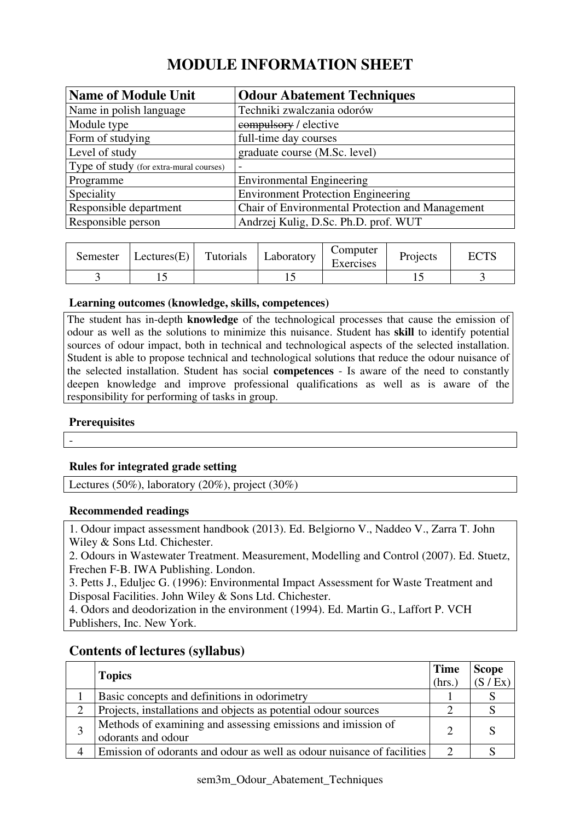# **MODULE INFORMATION SHEET**

| <b>Name of Module Unit</b>              | <b>Odour Abatement Techniques</b>                |
|-----------------------------------------|--------------------------------------------------|
| Name in polish language                 | Techniki zwalczania odorów                       |
| Module type                             | eompulsory / elective                            |
| Form of studying                        | full-time day courses                            |
| Level of study                          | graduate course (M.Sc. level)                    |
| Type of study (for extra-mural courses) |                                                  |
| Programme                               | <b>Environmental Engineering</b>                 |
| Speciality                              | <b>Environment Protection Engineering</b>        |
| Responsible department                  | Chair of Environmental Protection and Management |
| Responsible person                      | Andrzej Kulig, D.Sc. Ph.D. prof. WUT             |

| Semester | $ \text{Lectures}(E) $ | Tutorials | Laboratory | Computer<br>Exercises | Projects | <b>ECTS</b> |
|----------|------------------------|-----------|------------|-----------------------|----------|-------------|
|          |                        |           |            |                       |          |             |

#### **Learning outcomes (knowledge, skills, competences)**

The student has in-depth **knowledge** of the technological processes that cause the emission of odour as well as the solutions to minimize this nuisance. Student has **skill** to identify potential sources of odour impact, both in technical and technological aspects of the selected installation. Student is able to propose technical and technological solutions that reduce the odour nuisance of the selected installation. Student has social **competences** - Is aware of the need to constantly deepen knowledge and improve professional qualifications as well as is aware of the responsibility for performing of tasks in group.

## **Prerequisites**

-

## **Rules for integrated grade setting**

Lectures (50%), laboratory (20%), project (30%)

#### **Recommended readings**

1. Odour impact assessment handbook (2013). Ed. Belgiorno V., Naddeo V., Zarra T. John Wiley & Sons Ltd. Chichester.

2. Odours in Wastewater Treatment. Measurement, Modelling and Control (2007). Ed. Stuetz, Frechen F-B. IWA Publishing. London.

3. Petts J., Eduljec G. (1996): Environmental Impact Assessment for Waste Treatment and Disposal Facilities. John Wiley & Sons Ltd. Chichester.

4. Odors and deodorization in the environment (1994). Ed. Martin G., Laffort P. VCH Publishers, Inc. New York.

## **Contents of lectures (syllabus)**

|                                                                                    | <b>Time</b> | <b>Scope</b> |
|------------------------------------------------------------------------------------|-------------|--------------|
| <b>Topics</b><br>(hrs.)                                                            |             | (S / Ex)     |
| Basic concepts and definitions in odorimetry                                       |             |              |
| Projects, installations and objects as potential odour sources                     |             |              |
| Methods of examining and assessing emissions and imission of<br>odorants and odour | ↑           |              |
| Emission of odorants and odour as well as odour nuisance of facilities             |             |              |